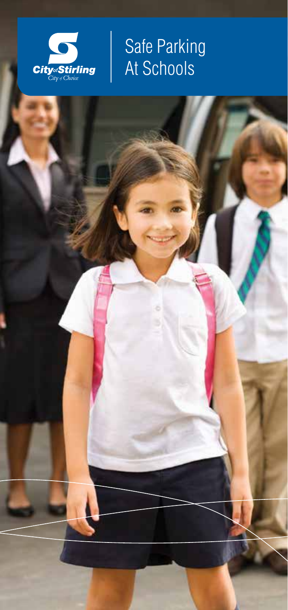

# Safe Parking At Schools

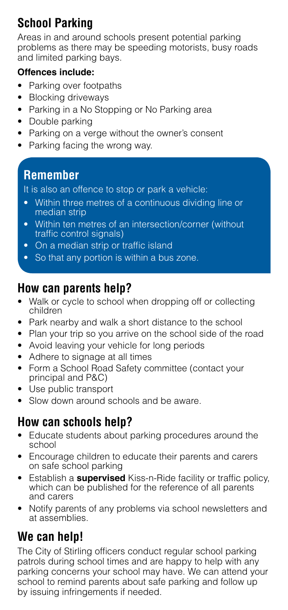# **School Parking**

Areas in and around schools present potential parking problems as there may be speeding motorists, busy roads and limited parking bays.

#### **Offences include:**

- Parking over footpaths
- Blocking driveways
- Parking in a No Stopping or No Parking area
- Double parking
- Parking on a verge without the owner's consent
- Parking facing the wrong way.

## **Remember**

It is also an offence to stop or park a vehicle:

- Within three metres of a continuous dividing line or median strip
- Within ten metres of an intersection/corner (without traffic control signals)
- On a median strip or traffic island
- So that any portion is within a bus zone.

### **How can parents help?**

- Walk or cycle to school when dropping off or collecting children
- Park nearby and walk a short distance to the school
- Plan your trip so you arrive on the school side of the road
- Avoid leaving your vehicle for long periods
- Adhere to signage at all times
- Form a School Road Safety committee (contact your principal and P&C)
- Use public transport
- Slow down around schools and be aware.

## **How can schools help?**

- Educate students about parking procedures around the school
- Encourage children to educate their parents and carers on safe school parking
- Establish a **supervised** Kiss-n-Ride facility or traffic policy, which can be published for the reference of all parents and carers
- Notify parents of any problems via school newsletters and at assemblies.

# **We can help!**

The City of Stirling officers conduct regular school parking patrols during school times and are happy to help with any parking concerns your school may have. We can attend your school to remind parents about safe parking and follow up by issuing infringements if needed.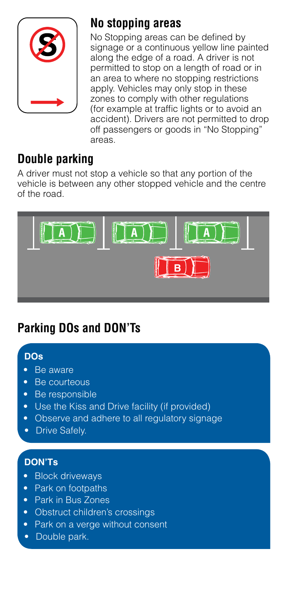

### **No stopping areas**

No Stopping areas can be defined by signage or a continuous yellow line painted along the edge of a road. A driver is not permitted to stop on a length of road or in an area to where no stopping restrictions apply. Vehicles may only stop in these zones to comply with other regulations (for example at traffic lights or to avoid an accident). Drivers are not permitted to drop off passengers or goods in "No Stopping" areas.

# **Double parking**

A driver must not stop a vehicle so that any portion of the vehicle is between any other stopped vehicle and the centre of the road.



# **Parking DOs and DON'Ts**

#### **DOs**

- Be aware
- Be courteous
- Be responsible
- Use the Kiss and Drive facility (if provided)
- Observe and adhere to all regulatory signage
- **Drive Safely.**

#### **DON'Ts**

- Block driveways
- Park on footpaths
- Park in Bus Zones
- Obstruct children's crossings
- Park on a verge without consent
- Double park.